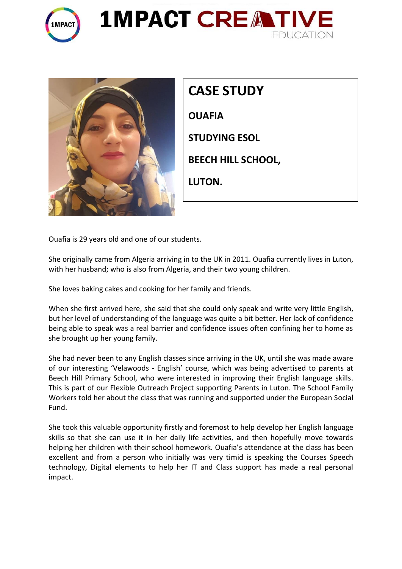





| <b>CASE STUDY</b>         |
|---------------------------|
| <b>OUAFIA</b>             |
| <b>STUDYING ESOL</b>      |
| <b>BEECH HILL SCHOOL,</b> |
| LUTON.                    |
|                           |

Ouafia is 29 years old and one of our students.

She originally came from Algeria arriving in to the UK in 2011. Ouafia currently lives in Luton, with her husband; who is also from Algeria, and their two young children.

She loves baking cakes and cooking for her family and friends.

When she first arrived here, she said that she could only speak and write very little English, but her level of understanding of the language was quite a bit better. Her lack of confidence being able to speak was a real barrier and confidence issues often confining her to home as she brought up her young family.

She had never been to any English classes since arriving in the UK, until she was made aware of our interesting 'Velawoods - English' course, which was being advertised to parents at Beech Hill Primary School, who were interested in improving their English language skills. This is part of our Flexible Outreach Project supporting Parents in Luton. The School Family Workers told her about the class that was running and supported under the European Social Fund.

She took this valuable opportunity firstly and foremost to help develop her English language skills so that she can use it in her daily life activities, and then hopefully move towards helping her children with their school homework. Ouafia's attendance at the class has been excellent and from a person who initially was very timid is speaking the Courses Speech technology, Digital elements to help her IT and Class support has made a real personal impact.